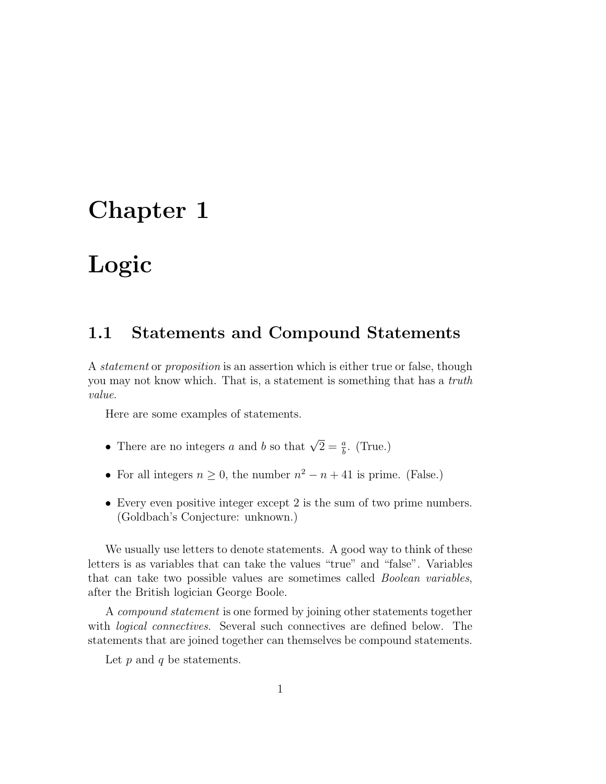# Chapter 1

# Logic

## 1.1 Statements and Compound Statements

A statement or proposition is an assertion which is either true or false, though you may not know which. That is, a statement is something that has a *truth* value.

Here are some examples of statements.

- There are no integers a and b so that  $\sqrt{2} = \frac{a}{b}$ . (True.)
- For all integers  $n \geq 0$ , the number  $n^2 n + 41$  is prime. (False.)
- Every even positive integer except 2 is the sum of two prime numbers. (Goldbach's Conjecture: unknown.)

We usually use letters to denote statements. A good way to think of these letters is as variables that can take the values "true" and "false". Variables that can take two possible values are sometimes called Boolean variables, after the British logician George Boole.

A compound statement is one formed by joining other statements together with logical connectives. Several such connectives are defined below. The statements that are joined together can themselves be compound statements.

Let  $p$  and  $q$  be statements.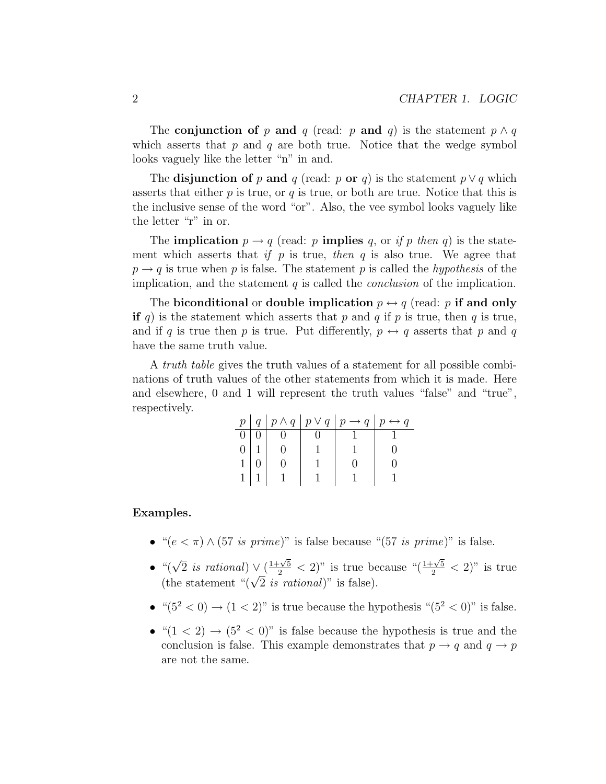The conjunction of p and q (read: p and q) is the statement  $p \wedge q$ which asserts that  $p$  and  $q$  are both true. Notice that the wedge symbol looks vaguely like the letter "n" in and.

The disjunction of p and q (read: p or q) is the statement  $p \vee q$  which asserts that either  $p$  is true, or  $q$  is true, or both are true. Notice that this is the inclusive sense of the word "or". Also, the vee symbol looks vaguely like the letter "r" in or.

The **implication**  $p \rightarrow q$  (read: p **implies** q, or if p then q) is the statement which asserts that if  $p$  is true, then  $q$  is also true. We agree that  $p \rightarrow q$  is true when p is false. The statement p is called the *hypothesis* of the implication, and the statement  $q$  is called the *conclusion* of the implication.

The biconditional or double implication  $p \leftrightarrow q$  (read: p if and only if q) is the statement which asserts that p and q if p is true, then q is true, and if q is true then p is true. Put differently,  $p \leftrightarrow q$  asserts that p and q have the same truth value.

A truth table gives the truth values of a statement for all possible combinations of truth values of the other statements from which it is made. Here and elsewhere, 0 and 1 will represent the truth values "false" and "true", respectively.

| $p_{\parallel}$ |  | $q   p \wedge q   p \vee q   p \rightarrow q   p \leftrightarrow q$ |  |
|-----------------|--|---------------------------------------------------------------------|--|
|                 |  |                                                                     |  |
|                 |  |                                                                     |  |
|                 |  |                                                                     |  |
|                 |  |                                                                     |  |

#### Examples.

- " $(e < \pi) \wedge (57 \text{ is prime})$ " is false because " $(57 \text{ is prime})$ " is false.
- " $(\sqrt{2} \text{ is rational}) \vee (\frac{1+\sqrt{5}}{2} < 2)$ " is true because " $(\frac{1+\sqrt{5}}{2} < 2)$ " is true ( $\sqrt{2}$  is rational)  $\sqrt{2}$  is  $\sqrt{2}$  is true be (the statement " $(\sqrt{2}$  *is rational*)" is false).
- $((5^2 < 0) \rightarrow (1 < 2)$ " is true because the hypothesis  $((5^2 < 0)$ " is false.
- " $(1 < 2) \rightarrow (5^2 < 0)$ " is false because the hypothesis is true and the conclusion is false. This example demonstrates that  $p \to q$  and  $q \to p$ are not the same.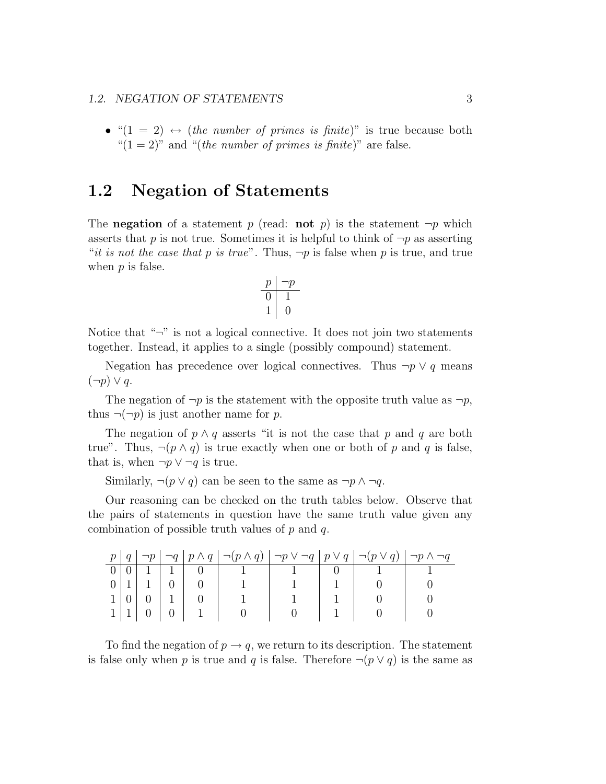#### 1.2. NEGATION OF STATEMENTS 3

• " $(1 = 2) \leftrightarrow (the \ number \ of \ primes \ is \ finite)$ " is true because both " $(1 = 2)$ " and "(the number of primes is finite)" are false.

## 1.2 Negation of Statements

The **negation** of a statement p (read: **not** p) is the statement  $\neg p$  which asserts that p is not true. Sometimes it is helpful to think of  $\neg p$  as asserting "*it is not the case that p is true*". Thus,  $\neg p$  is false when p is true, and true when  $p$  is false.

$$
\begin{array}{c|c}\np & \neg p \\
\hline\n0 & 1 \\
1 & 0\n\end{array}
$$

Notice that " $\neg$ " is not a logical connective. It does not join two statements together. Instead, it applies to a single (possibly compound) statement.

Negation has precedence over logical connectives. Thus  $\neg p \lor q$  means  $(\neg p) \vee q$ .

The negation of  $\neg p$  is the statement with the opposite truth value as  $\neg p$ , thus  $\neg(\neg p)$  is just another name for p.

The negation of  $p \wedge q$  asserts "it is not the case that p and q are both true". Thus,  $\neg(p \land q)$  is true exactly when one or both of p and q is false, that is, when  $\neg p \lor \neg q$  is true.

Similarly,  $\neg(p \lor q)$  can be seen to the same as  $\neg p \land \neg q$ .

Our reasoning can be checked on the truth tables below. Observe that the pairs of statements in question have the same truth value given any combination of possible truth values of  $p$  and  $q$ .

| p | q |  | $\neg p \mid \neg q \mid p \wedge q \mid \neg (p \wedge q) \mid \neg p \vee \neg q \mid p \vee q \mid \neg (p \vee q) \mid \neg p \wedge \neg q$ |  |  |
|---|---|--|--------------------------------------------------------------------------------------------------------------------------------------------------|--|--|
|   |   |  |                                                                                                                                                  |  |  |
|   |   |  |                                                                                                                                                  |  |  |
|   |   |  |                                                                                                                                                  |  |  |
|   |   |  |                                                                                                                                                  |  |  |

To find the negation of  $p \rightarrow q$ , we return to its description. The statement is false only when p is true and q is false. Therefore  $\neg(p \lor q)$  is the same as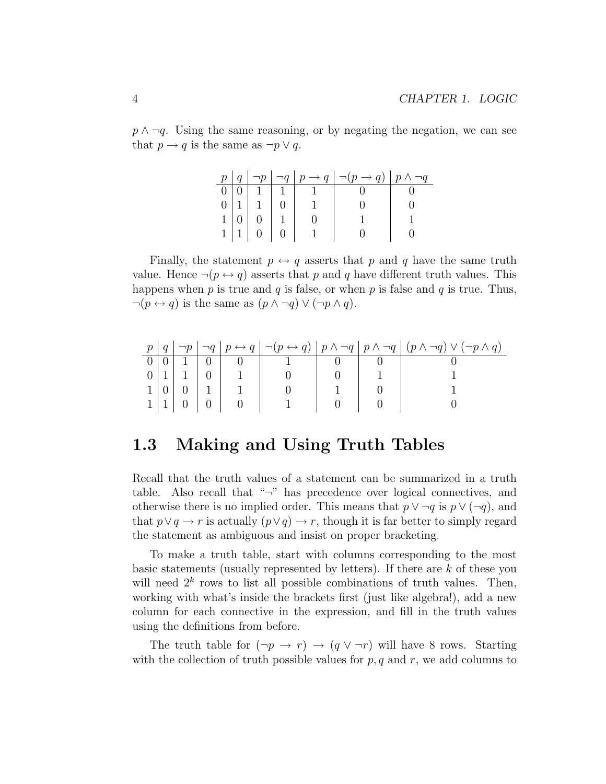$p \wedge \neg q$ . Using the same reasoning, or by negating the negation, we can see that  $p \to q$  is the same as  $\neg p \lor q$ .

|  |                                                                              |  | $p   q   \neg p   \neg q   p \rightarrow q   \neg (p \rightarrow q)   p \land \neg q$ |  |
|--|------------------------------------------------------------------------------|--|---------------------------------------------------------------------------------------|--|
|  | 0 0 1 1 1                                                                    |  |                                                                                       |  |
|  | $\begin{array}{c c c c c} 0 & 1 & 1 & 0 \\ \hline 1 & 0 & 0 & 1 \end{array}$ |  |                                                                                       |  |
|  |                                                                              |  |                                                                                       |  |
|  | $1 \mid 1 \mid 0 \mid 0$                                                     |  |                                                                                       |  |

Finally, the statement  $p \leftrightarrow q$  asserts that p and q have the same truth value. Hence  $\neg(p \leftrightarrow q)$  asserts that p and q have different truth values. This happens when  $p$  is true and  $q$  is false, or when  $p$  is false and  $q$  is true. Thus,  $\neg(p \leftrightarrow q)$  is the same as  $(p \land \neg q) \lor (\neg p \land q)$ .

|  |  |  |  | $p   q   \neg p   \neg q   p \leftrightarrow q   \neg (p \leftrightarrow q)   p \land \neg q   p \land \neg q   (p \land \neg q) \lor (\neg p \land q)$ |
|--|--|--|--|---------------------------------------------------------------------------------------------------------------------------------------------------------|
|  |  |  |  |                                                                                                                                                         |
|  |  |  |  |                                                                                                                                                         |
|  |  |  |  |                                                                                                                                                         |
|  |  |  |  |                                                                                                                                                         |

## 1.3 Making and Using Truth Tables

Recall that the truth values of a statement can be summarized in a truth table. Also recall that "¬" has precedence over logical connectives, and otherwise there is no implied order. This means that  $p \vee \neg q$  is  $p \vee (\neg q)$ , and that  $p \vee q \rightarrow r$  is actually  $(p \vee q) \rightarrow r$ , though it is far better to simply regard the statement as ambiguous and insist on proper bracketing.

To make a truth table, start with columns corresponding to the most basic statements (usually represented by letters). If there are k of these you will need  $2^k$  rows to list all possible combinations of truth values. Then, working with what's inside the brackets first (just like algebra!), add a new column for each connective in the expression, and fill in the truth values using the definitions from before.

The truth table for  $(\neg p \rightarrow r) \rightarrow (q \vee \neg r)$  will have 8 rows. Starting with the collection of truth possible values for  $p, q$  and  $r$ , we add columns to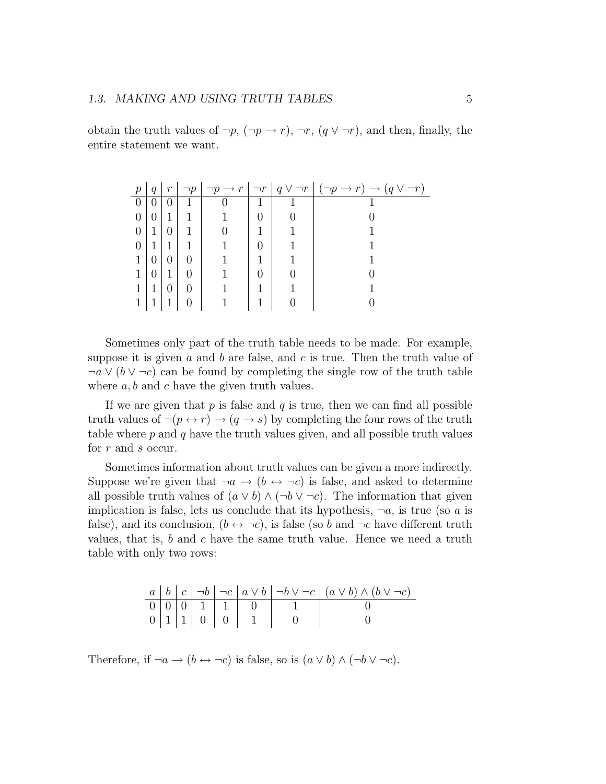obtain the truth values of  $\neg p$ ,  $(\neg p \rightarrow r)$ ,  $\neg r$ ,  $(q \vee \neg r)$ , and then, finally, the entire statement we want.

| $\boldsymbol{p}$ | q                | $r_{\rm}$        | $\neg p$         |  | $\neg p \rightarrow r \mid \neg r \mid q \vee \neg r \mid (\neg p \rightarrow r) \rightarrow (q \vee \neg r)$ |
|------------------|------------------|------------------|------------------|--|---------------------------------------------------------------------------------------------------------------|
| $\overline{0}$   | $\theta$         | $\left( \right)$ |                  |  |                                                                                                               |
| $\overline{0}$   | $\left( \right)$ | 1                |                  |  |                                                                                                               |
| $\overline{0}$   | -1               | 0                |                  |  |                                                                                                               |
| $\overline{0}$   |                  | 1                |                  |  |                                                                                                               |
| 1                | $\theta$         | $\theta$         |                  |  |                                                                                                               |
| 1                | $\theta$         | 1                |                  |  |                                                                                                               |
|                  |                  | $\theta$         | $\left( \right)$ |  |                                                                                                               |
|                  |                  |                  |                  |  |                                                                                                               |

Sometimes only part of the truth table needs to be made. For example, suppose it is given a and b are false, and c is true. Then the truth value of  $\neg a \vee (b \vee \neg c)$  can be found by completing the single row of the truth table where  $a, b$  and  $c$  have the given truth values.

If we are given that  $p$  is false and  $q$  is true, then we can find all possible truth values of  $\neg(p \leftrightarrow r) \rightarrow (q \rightarrow s)$  by completing the four rows of the truth table where  $p$  and  $q$  have the truth values given, and all possible truth values for r and s occur.

Sometimes information about truth values can be given a more indirectly. Suppose we're given that  $\neg a \rightarrow (b \leftrightarrow \neg c)$  is false, and asked to determine all possible truth values of  $(a \vee b) \wedge (\neg b \vee \neg c)$ . The information that given implication is false, lets us conclude that its hypothesis,  $\neg a$ , is true (so a is false), and its conclusion,  $(b \leftrightarrow \neg c)$ , is false (so b and  $\neg c$  have different truth values, that is,  $b$  and  $c$  have the same truth value. Hence we need a truth table with only two rows:

|  |  |  |                                                                                                                                                               | $a   b   c   \neg b   \neg c   a \vee b   \neg b \vee \neg c   (a \vee b) \wedge (b \vee \neg c)$ |
|--|--|--|---------------------------------------------------------------------------------------------------------------------------------------------------------------|---------------------------------------------------------------------------------------------------|
|  |  |  |                                                                                                                                                               |                                                                                                   |
|  |  |  | $\begin{tabular}{ c c c c c c c c } \hline $0$ & $0$ & $0$ & $1$ & $1$ & $0$ & $1$ \\ \hline $0$ & $1$ & $1$ & $0$ & $0$ & $1$ & $0$ \\ \hline \end{tabular}$ |                                                                                                   |

Therefore, if  $\neg a \rightarrow (b \leftrightarrow \neg c)$  is false, so is  $(a \lor b) \land (\neg b \lor \neg c)$ .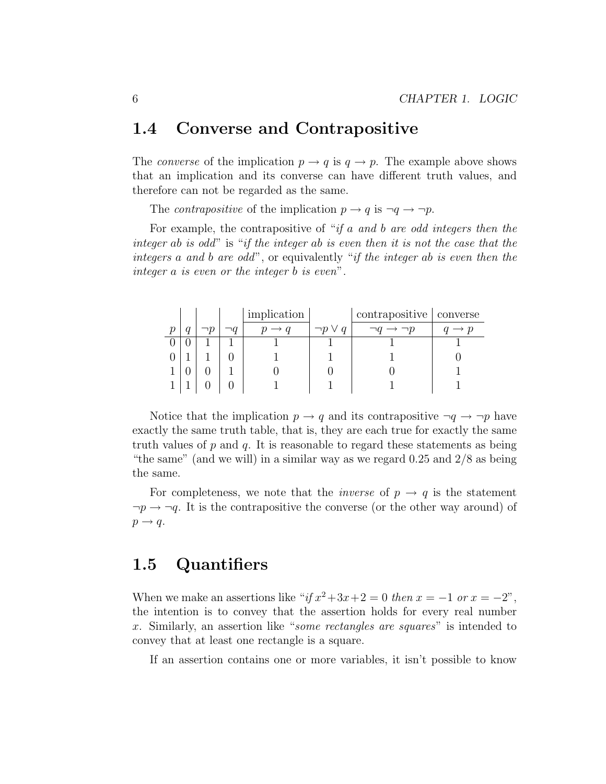### 1.4 Converse and Contrapositive

The *converse* of the implication  $p \to q$  is  $q \to p$ . The example above shows that an implication and its converse can have different truth values, and therefore can not be regarded as the same.

The *contrapositive* of the implication  $p \rightarrow q$  is  $\neg q \rightarrow \neg p$ .

For example, the contrapositive of "if a and b are odd integers then the integer ab is odd" is "if the integer ab is even then it is not the case that the integers a and b are odd", or equivalently "if the integer ab is even then the integer a is even or the integer b is even".

|                     |    |    | implication | contrapositive   converse |  |
|---------------------|----|----|-------------|---------------------------|--|
| $\boldsymbol{\eta}$ | מר | ٦0 |             |                           |  |
|                     |    |    |             |                           |  |
|                     |    |    |             |                           |  |
|                     |    |    |             |                           |  |
|                     |    |    |             |                           |  |

Notice that the implication  $p \to q$  and its contrapositive  $\neg q \to \neg p$  have exactly the same truth table, that is, they are each true for exactly the same truth values of  $p$  and  $q$ . It is reasonable to regard these statements as being "the same" (and we will) in a similar way as we regard  $0.25$  and  $2/8$  as being the same.

For completeness, we note that the *inverse* of  $p \rightarrow q$  is the statement  $\neg p \rightarrow \neg q$ . It is the contrapositive the converse (or the other way around) of  $p \rightarrow q.$ 

## 1.5 Quantifiers

When we make an assertions like "if  $x^2+3x+2=0$  then  $x=-1$  or  $x=-2$ ", the intention is to convey that the assertion holds for every real number x. Similarly, an assertion like "some rectangles are squares" is intended to convey that at least one rectangle is a square.

If an assertion contains one or more variables, it isn't possible to know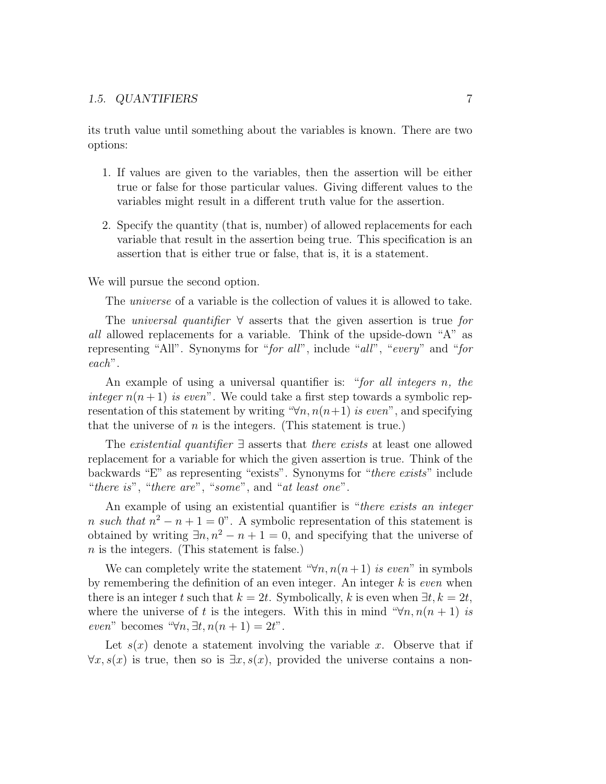its truth value until something about the variables is known. There are two options:

- 1. If values are given to the variables, then the assertion will be either true or false for those particular values. Giving different values to the variables might result in a different truth value for the assertion.
- 2. Specify the quantity (that is, number) of allowed replacements for each variable that result in the assertion being true. This specification is an assertion that is either true or false, that is, it is a statement.

We will pursue the second option.

The universe of a variable is the collection of values it is allowed to take.

The *universal quantifier*  $\forall$  asserts that the given assertion is true for all allowed replacements for a variable. Think of the upside-down "A" as representing "All". Synonyms for "for all", include "all", "every" and "for each".

An example of using a universal quantifier is: "for all integers n, the integer  $n(n+1)$  is even". We could take a first step towards a symbolic representation of this statement by writing " $\forall n, n(n+1)$  is even", and specifying that the universe of  $n$  is the integers. (This statement is true.)

The existential quantifier ∃ asserts that there exists at least one allowed replacement for a variable for which the given assertion is true. Think of the backwards "E" as representing "exists". Synonyms for "there exists" include "there is", "there are", "some", and "at least one".

An example of using an existential quantifier is "*there exists an integer* n such that  $n^2 - n + 1 = 0$ ". A symbolic representation of this statement is obtained by writing  $\exists n, n^2 - n + 1 = 0$ , and specifying that the universe of n is the integers. (This statement is false.)

We can completely write the statement " $\forall n, n(n+1)$  is even" in symbols by remembering the definition of an even integer. An integer  $k$  is *even* when there is an integer t such that  $k = 2t$ . Symbolically, k is even when  $\exists t, k = 2t$ , where the universe of t is the integers. With this in mind " $\forall n, n(n+1)$  is even" becomes " $\forall n, \exists t, n(n+1) = 2t$ ".

Let  $s(x)$  denote a statement involving the variable x. Observe that if  $\forall x, s(x)$  is true, then so is  $\exists x, s(x)$ , provided the universe contains a non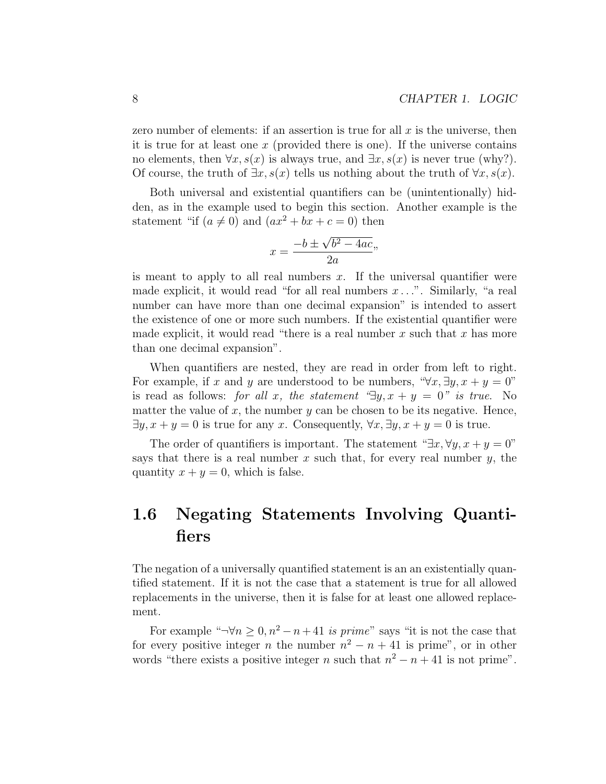zero number of elements: if an assertion is true for all  $x$  is the universe, then it is true for at least one x (provided there is one). If the universe contains no elements, then  $\forall x, s(x)$  is always true, and  $\exists x, s(x)$  is never true (why?). Of course, the truth of  $\exists x, s(x)$  tells us nothing about the truth of  $\forall x, s(x)$ .

Both universal and existential quantifiers can be (unintentionally) hidden, as in the example used to begin this section. Another example is the statement "if  $(a \neq 0)$  and  $(ax^2 + bx + c = 0)$  then

$$
x = \frac{-b \pm \sqrt{b^2 - 4ac}}{2a},
$$

is meant to apply to all real numbers  $x$ . If the universal quantifier were made explicit, it would read "for all real numbers  $x \dots$ ". Similarly, "a real number can have more than one decimal expansion" is intended to assert the existence of one or more such numbers. If the existential quantifier were made explicit, it would read "there is a real number  $x$  such that  $x$  has more than one decimal expansion".

When quantifiers are nested, they are read in order from left to right. For example, if x and y are understood to be numbers, " $\forall x, \exists y, x + y = 0$ " is read as follows: for all x, the statement " $\exists y, x + y = 0$ " is true. No matter the value of  $x$ , the number  $y$  can be chosen to be its negative. Hence,  $\exists y, x + y = 0$  is true for any x. Consequently,  $\forall x, \exists y, x + y = 0$  is true.

The order of quantifiers is important. The statement " $\exists x, \forall y, x + y = 0$ " says that there is a real number x such that, for every real number y, the quantity  $x + y = 0$ , which is false.

## 1.6 Negating Statements Involving Quantifiers

The negation of a universally quantified statement is an an existentially quantified statement. If it is not the case that a statement is true for all allowed replacements in the universe, then it is false for at least one allowed replacement.

For example " $\neg \forall n \geq 0$ ,  $n^2 - n + 41$  is prime" says "it is not the case that for every positive integer *n* the number  $n^2 - n + 41$  is prime", or in other words "there exists a positive integer n such that  $n^2 - n + 41$  is not prime".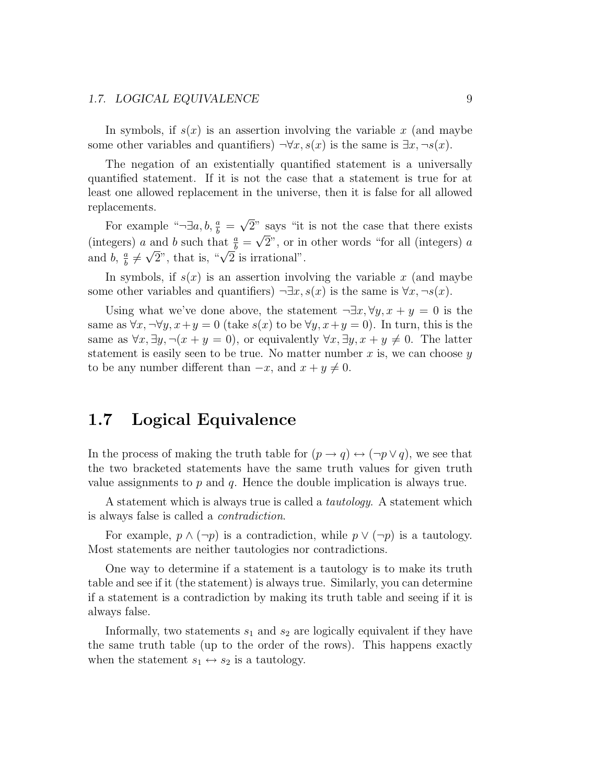#### 1.7. LOGICAL EQUIVALENCE 9

In symbols, if  $s(x)$  is an assertion involving the variable x (and maybe some other variables and quantifiers)  $\neg \forall x, s(x)$  is the same is  $\exists x, \neg s(x)$ .

The negation of an existentially quantified statement is a universally quantified statement. If it is not the case that a statement is true for at least one allowed replacement in the universe, then it is false for all allowed replacements. √

For example " $\neg \exists a, b, \frac{a}{b}$  = 2" says "it is not the case that there exists (integers) a and b such that  $\frac{a}{b} = \sqrt{2}$ ", or in other words "for all (integers) a and  $b, \frac{a}{b}$  $\frac{a}{b} \neq \sqrt{2}$ ", that is, " $\sqrt{2}$  is irrational".

In symbols, if  $s(x)$  is an assertion involving the variable x (and maybe some other variables and quantifiers)  $\neg \exists x, s(x)$  is the same is  $\forall x, \neg s(x)$ .

Using what we've done above, the statement  $\neg \exists x, \forall y, x + y = 0$  is the same as  $\forall x, \neg \forall y, x+y=0$  (take  $s(x)$  to be  $\forall y, x+y=0$ ). In turn, this is the same as  $\forall x, \exists y, \neg(x+y=0)$ , or equivalently  $\forall x, \exists y, x+y \neq 0$ . The latter statement is easily seen to be true. No matter number  $x$  is, we can choose  $y$ to be any number different than  $-x$ , and  $x + y \neq 0$ .

## 1.7 Logical Equivalence

In the process of making the truth table for  $(p \to q) \leftrightarrow (\neg p \lor q)$ , we see that the two bracketed statements have the same truth values for given truth value assignments to  $p$  and  $q$ . Hence the double implication is always true.

A statement which is always true is called a tautology. A statement which is always false is called a contradiction.

For example,  $p \wedge (\neg p)$  is a contradiction, while  $p \vee (\neg p)$  is a tautology. Most statements are neither tautologies nor contradictions.

One way to determine if a statement is a tautology is to make its truth table and see if it (the statement) is always true. Similarly, you can determine if a statement is a contradiction by making its truth table and seeing if it is always false.

Informally, two statements  $s_1$  and  $s_2$  are logically equivalent if they have the same truth table (up to the order of the rows). This happens exactly when the statement  $s_1 \leftrightarrow s_2$  is a tautology.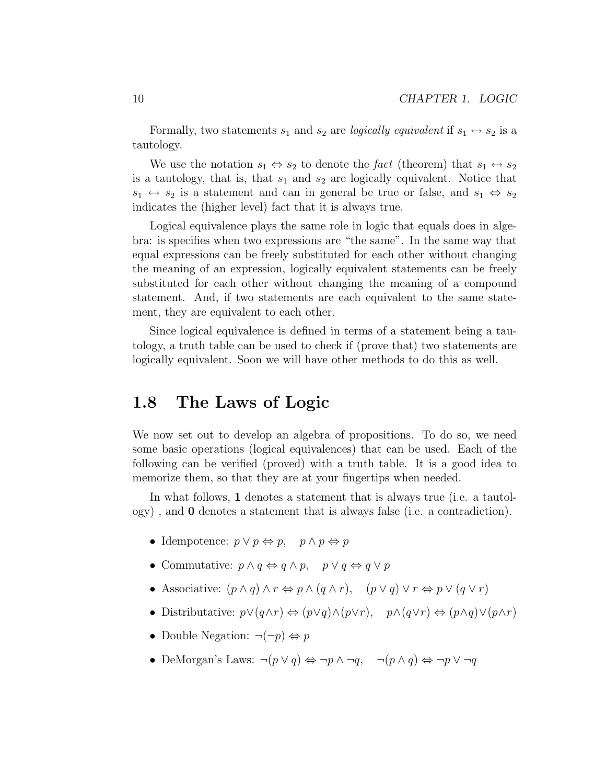Formally, two statements  $s_1$  and  $s_2$  are *logically equivalent* if  $s_1 \leftrightarrow s_2$  is a tautology.

We use the notation  $s_1 \Leftrightarrow s_2$  to denote the fact (theorem) that  $s_1 \leftrightarrow s_2$ is a tautology, that is, that  $s_1$  and  $s_2$  are logically equivalent. Notice that  $s_1 \leftrightarrow s_2$  is a statement and can in general be true or false, and  $s_1 \Leftrightarrow s_2$ indicates the (higher level) fact that it is always true.

Logical equivalence plays the same role in logic that equals does in algebra: is specifies when two expressions are "the same". In the same way that equal expressions can be freely substituted for each other without changing the meaning of an expression, logically equivalent statements can be freely substituted for each other without changing the meaning of a compound statement. And, if two statements are each equivalent to the same statement, they are equivalent to each other.

Since logical equivalence is defined in terms of a statement being a tautology, a truth table can be used to check if (prove that) two statements are logically equivalent. Soon we will have other methods to do this as well.

## 1.8 The Laws of Logic

We now set out to develop an algebra of propositions. To do so, we need some basic operations (logical equivalences) that can be used. Each of the following can be verified (proved) with a truth table. It is a good idea to memorize them, so that they are at your fingertips when needed.

In what follows, 1 denotes a statement that is always true (i.e. a tautology) , and 0 denotes a statement that is always false (i.e. a contradiction).

- Idempotence:  $p \lor p \Leftrightarrow p$ ,  $p \land p \Leftrightarrow p$
- Commutative:  $p \land q \Leftrightarrow q \land p$ ,  $p \lor q \Leftrightarrow q \lor p$
- Associative:  $(p \wedge q) \wedge r \Leftrightarrow p \wedge (q \wedge r)$ ,  $(p \vee q) \vee r \Leftrightarrow p \vee (q \vee r)$
- Distributative:  $p \lor (q \land r) \Leftrightarrow (p \lor q) \land (p \lor r)$ ,  $p \land (q \lor r) \Leftrightarrow (p \land q) \lor (p \land r)$
- Double Negation:  $\neg(\neg p) \Leftrightarrow p$
- DeMorgan's Laws:  $\neg(p \lor q) \Leftrightarrow \neg p \land \neg q$ ,  $\neg(p \land q) \Leftrightarrow \neg p \lor \neg q$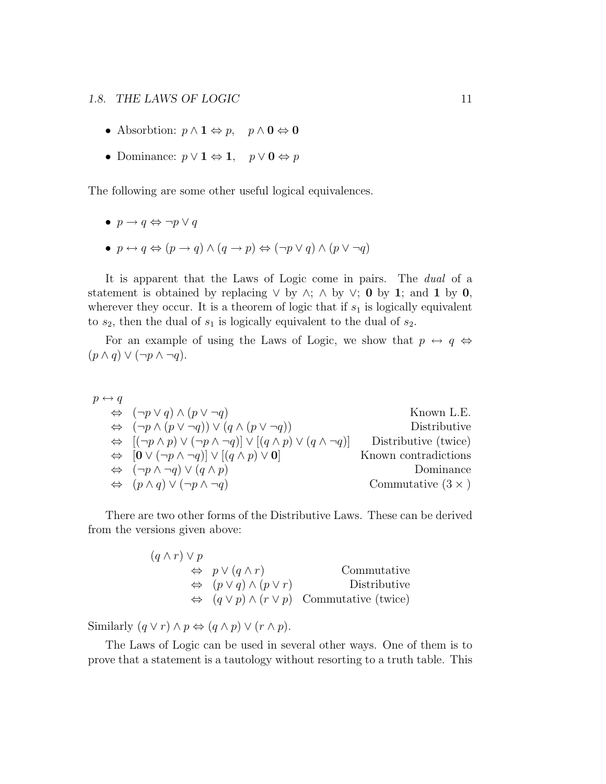- Absorbtion:  $p \wedge 1 \Leftrightarrow p, \quad p \wedge 0 \Leftrightarrow 0$
- Dominance:  $p \vee 1 \Leftrightarrow 1$ ,  $p \vee 0 \Leftrightarrow p$

The following are some other useful logical equivalences.

$$
\bullet \ \ p \to q \Leftrightarrow \neg p \lor q
$$

•  $p \leftrightarrow q \Leftrightarrow (p \rightarrow q) \land (q \rightarrow p) \Leftrightarrow (\neg p \lor q) \land (p \lor \neg q)$ 

It is apparent that the Laws of Logic come in pairs. The dual of a statement is obtained by replacing  $\vee$  by  $\wedge$ ;  $\wedge$  by  $\vee$ ; 0 by 1; and 1 by 0, wherever they occur. It is a theorem of logic that if  $s_1$  is logically equivalent to  $s_2$ , then the dual of  $s_1$  is logically equivalent to the dual of  $s_2$ .

For an example of using the Laws of Logic, we show that  $p \leftrightarrow q \Leftrightarrow$  $(p \wedge q) \vee (\neg p \wedge \neg q).$ 

| $p \leftrightarrow q$ |                                                                                                          |                          |
|-----------------------|----------------------------------------------------------------------------------------------------------|--------------------------|
|                       | $\Leftrightarrow (\neg p \vee q) \wedge (p \vee \neg q)$                                                 | Known L.E.               |
|                       | $\Leftrightarrow (\neg p \land (p \lor \neg q)) \lor (q \land (p \lor \neg q))$                          | Distributive             |
|                       | $\Leftrightarrow [(\neg p \land p) \lor (\neg p \land \neg q)] \lor [(q \land p) \lor (q \land \neg q)]$ | Distributive (twice)     |
|                       | $\Leftrightarrow$ $[0 \vee (\neg p \wedge \neg q)] \vee [(q \wedge p) \vee 0]$                           | Known contradictions     |
|                       | $\Leftrightarrow (\neg p \wedge \neg q) \vee (q \wedge p)$                                               | Dominance                |
|                       | $\Leftrightarrow$ $(p \wedge q) \vee (\neg p \wedge \neg q)$                                             | Commutative $(3 \times)$ |

There are two other forms of the Distributive Laws. These can be derived from the versions given above:

| $(q \wedge r) \vee p$ |                                                  |                                                                      |
|-----------------------|--------------------------------------------------|----------------------------------------------------------------------|
|                       | $\Leftrightarrow p \vee (q \wedge r)$            | Commutative                                                          |
|                       | $\Leftrightarrow$ $(p \vee q) \wedge (p \vee r)$ | Distributive                                                         |
|                       |                                                  | $\Leftrightarrow$ $(q \vee p) \wedge (r \vee p)$ Commutative (twice) |

Similarly  $(q \lor r) \land p \Leftrightarrow (q \land p) \lor (r \land p)$ .

The Laws of Logic can be used in several other ways. One of them is to prove that a statement is a tautology without resorting to a truth table. This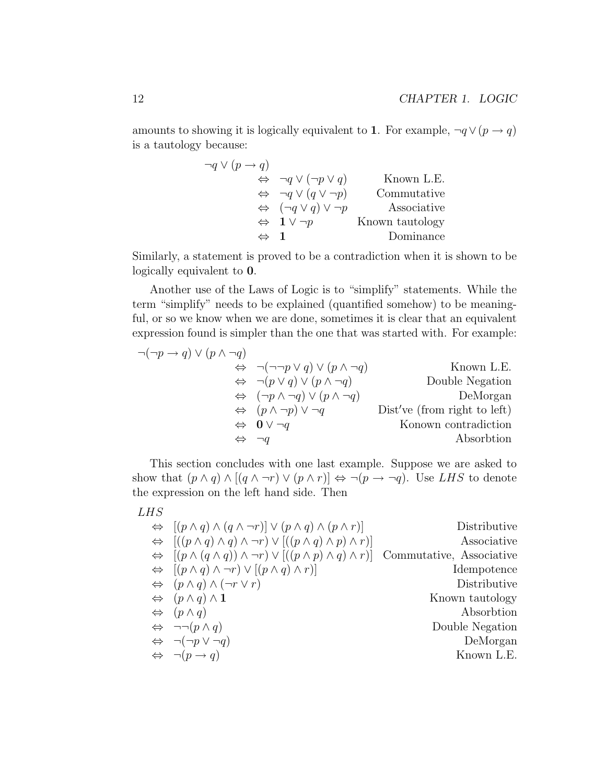amounts to showing it is logically equivalent to 1. For example,  $\neg q \lor (p \rightarrow q)$ is a tautology because:

| $\neg q \vee (p \rightarrow q)$ |                                               |                 |
|---------------------------------|-----------------------------------------------|-----------------|
|                                 | $\Leftrightarrow \neg q \vee (\neg p \vee q)$ | Known L.E.      |
|                                 | $\Leftrightarrow \neg q \vee (q \vee \neg p)$ | Commutative     |
|                                 | $\Leftrightarrow (\neg q \vee q) \vee \neg p$ | Associative     |
|                                 | $\Leftrightarrow$ 1 $\vee \neg p$             | Known tautology |
| $\leftrightarrow$               |                                               | Dominance       |

Similarly, a statement is proved to be a contradiction when it is shown to be logically equivalent to 0.

Another use of the Laws of Logic is to "simplify" statements. While the term "simplify" needs to be explained (quantified somehow) to be meaningful, or so we know when we are done, sometimes it is clear that an equivalent expression found is simpler than the one that was started with. For example:

|                                |                                                                 | $\neg(\neg p \rightarrow q) \vee (p \wedge \neg q)$ |
|--------------------------------|-----------------------------------------------------------------|-----------------------------------------------------|
| Known L.E.                     | $\Leftrightarrow \neg(\neg\neg p \lor q) \lor (p \land \neg q)$ |                                                     |
| Double Negation                | $\Leftrightarrow \neg (p \vee q) \vee (p \wedge \neg q)$        |                                                     |
| DeMorgan                       | $\Leftrightarrow$ $(\neg p \land \neg q) \lor (p \land \neg q)$ |                                                     |
| $Dist've$ (from right to left) | $\Leftrightarrow$ $(p \wedge \neg p) \vee \neg q$               |                                                     |
| Konown contradiction           | $\Leftrightarrow$ 0 $\vee \neg q$                               |                                                     |
| Absorbtion                     | $\Leftrightarrow \neg q$                                        |                                                     |

This section concludes with one last example. Suppose we are asked to show that  $(p \wedge q) \wedge [(q \wedge \neg r) \vee (p \wedge r)] \Leftrightarrow \neg (p \rightarrow \neg q)$ . Use LHS to denote the expression on the left hand side. Then

#### LHS

| $\Leftrightarrow [(p \wedge q) \wedge (q \wedge \neg r)] \vee (p \wedge q) \wedge (p \wedge r)]$                             | Distributive    |
|------------------------------------------------------------------------------------------------------------------------------|-----------------|
| $\Leftrightarrow [((p \wedge q) \wedge q) \wedge \neg r) \vee [((p \wedge q) \wedge p) \wedge r)]$                           | Associative     |
| $\Leftrightarrow$ $[(p \wedge (q \wedge q)) \wedge \neg r) \vee [(p \wedge p) \wedge q) \wedge r)]$ Commutative, Associative |                 |
| $\Leftrightarrow [(p \wedge q) \wedge \neg r) \vee [(p \wedge q) \wedge r)]$                                                 | Idempotence     |
| $\Leftrightarrow$ $(p \wedge q) \wedge (\neg r \vee r)$                                                                      | Distributive    |
| $\Leftrightarrow$ $(p \wedge q) \wedge 1$                                                                                    | Known tautology |
| $\Leftrightarrow$ $(p \wedge q)$                                                                                             | Absorbtion      |
| $\Leftrightarrow \neg\neg(p \wedge q)$                                                                                       | Double Negation |
| $\Leftrightarrow \neg(\neg p \vee \neg q)$                                                                                   | DeMorgan        |
| $\Leftrightarrow \neg(p \rightarrow q)$                                                                                      | Known L.E.      |
|                                                                                                                              |                 |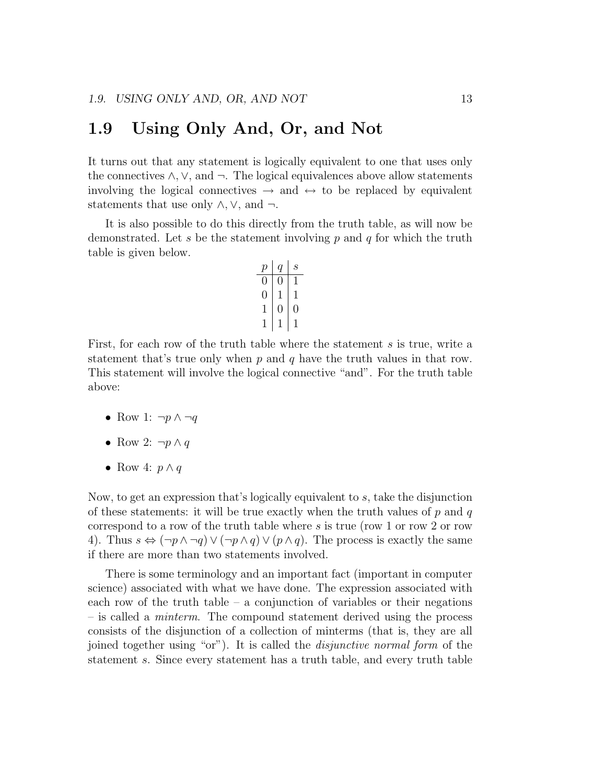## 1.9 Using Only And, Or, and Not

It turns out that any statement is logically equivalent to one that uses only the connectives  $\wedge$ ,  $\vee$ , and  $\neg$ . The logical equivalences above allow statements involving the logical connectives  $\rightarrow$  and  $\leftrightarrow$  to be replaced by equivalent statements that use only  $\land$ ,  $\lor$ , and  $\neg$ .

It is also possible to do this directly from the truth table, as will now be demonstrated. Let s be the statement involving  $p$  and  $q$  for which the truth table is given below.

$$
\begin{array}{c|c|c}\np & q & s \\
\hline\n0 & 0 & 1 \\
0 & 1 & 1 \\
1 & 0 & 0 \\
1 & 1 & 1\n\end{array}
$$

First, for each row of the truth table where the statement s is true, write a statement that's true only when  $p$  and  $q$  have the truth values in that row. This statement will involve the logical connective "and". For the truth table above:

- Row 1:  $\neg p \wedge \neg q$
- Row 2:  $\neg p \land q$
- Row 4:  $p \wedge q$

Now, to get an expression that's logically equivalent to s, take the disjunction of these statements: it will be true exactly when the truth values of  $p$  and  $q$ correspond to a row of the truth table where s is true (row 1 or row 2 or row 4). Thus  $s \Leftrightarrow (\neg p \wedge \neg q) \vee (\neg p \wedge q) \vee (p \wedge q)$ . The process is exactly the same if there are more than two statements involved.

There is some terminology and an important fact (important in computer science) associated with what we have done. The expression associated with each row of the truth table – a conjunction of variables or their negations – is called a minterm. The compound statement derived using the process consists of the disjunction of a collection of minterms (that is, they are all joined together using "or"). It is called the *disjunctive normal form* of the statement s. Since every statement has a truth table, and every truth table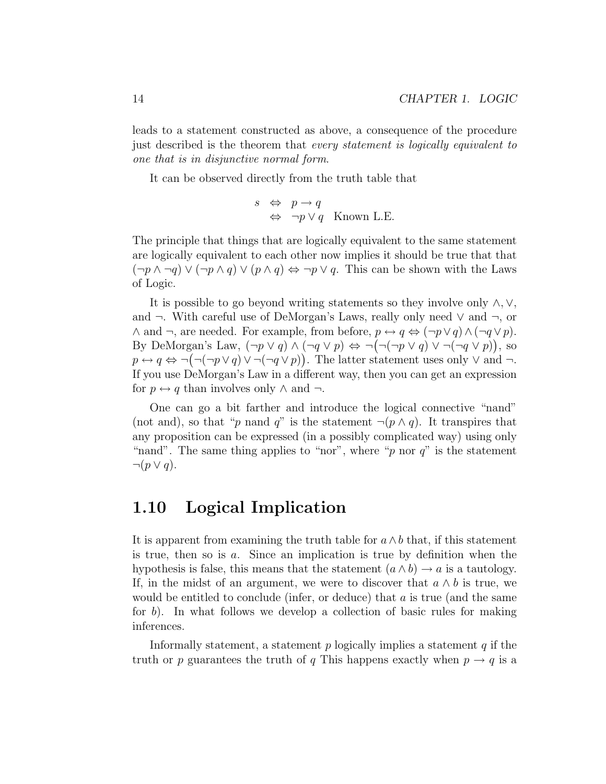leads to a statement constructed as above, a consequence of the procedure just described is the theorem that every statement is logically equivalent to one that is in disjunctive normal form.

It can be observed directly from the truth table that

$$
s \Leftrightarrow p \to q
$$
  

$$
\Leftrightarrow \neg p \lor q
$$
 Known L.E.

The principle that things that are logically equivalent to the same statement are logically equivalent to each other now implies it should be true that that  $(\neg p \land \neg q) \lor (\neg p \land q) \lor (p \land q) \Leftrightarrow \neg p \lor q$ . This can be shown with the Laws of Logic.

It is possible to go beyond writing statements so they involve only  $\land$ ,  $\lor$ , and  $\neg$ . With careful use of DeMorgan's Laws, really only need  $\vee$  and  $\neg$ , or  $\wedge$  and  $\neg$ , are needed. For example, from before,  $p \leftrightarrow q \Leftrightarrow (\neg p \vee q) \wedge (\neg q \vee p)$ . By DeMorgan's Law,  $(\neg p \lor q) \land (\neg q \lor p) \Leftrightarrow \neg(\neg(\neg p \lor q) \lor \neg(\neg q \lor p))$ , so  $p \leftrightarrow q \Leftrightarrow \neg(\neg(\neg p \vee q) \vee \neg(\neg q \vee p))$ . The latter statement uses only  $\vee$  and  $\neg$ . If you use DeMorgan's Law in a different way, then you can get an expression for  $p \leftrightarrow q$  than involves only  $\land$  and  $\neg$ .

One can go a bit farther and introduce the logical connective "nand" (not and), so that "p nand q" is the statement  $\neg (p \land q)$ . It transpires that any proposition can be expressed (in a possibly complicated way) using only "nand". The same thing applies to "nor", where "p nor  $q$ " is the statement  $\neg(p \vee q)$ .

## 1.10 Logical Implication

It is apparent from examining the truth table for  $a \wedge b$  that, if this statement is true, then so is a. Since an implication is true by definition when the hypothesis is false, this means that the statement  $(a \wedge b) \rightarrow a$  is a tautology. If, in the midst of an argument, we were to discover that  $a \wedge b$  is true, we would be entitled to conclude (infer, or deduce) that  $a$  is true (and the same for b). In what follows we develop a collection of basic rules for making inferences.

Informally statement, a statement  $p$  logically implies a statement  $q$  if the truth or p guarantees the truth of q This happens exactly when  $p \rightarrow q$  is a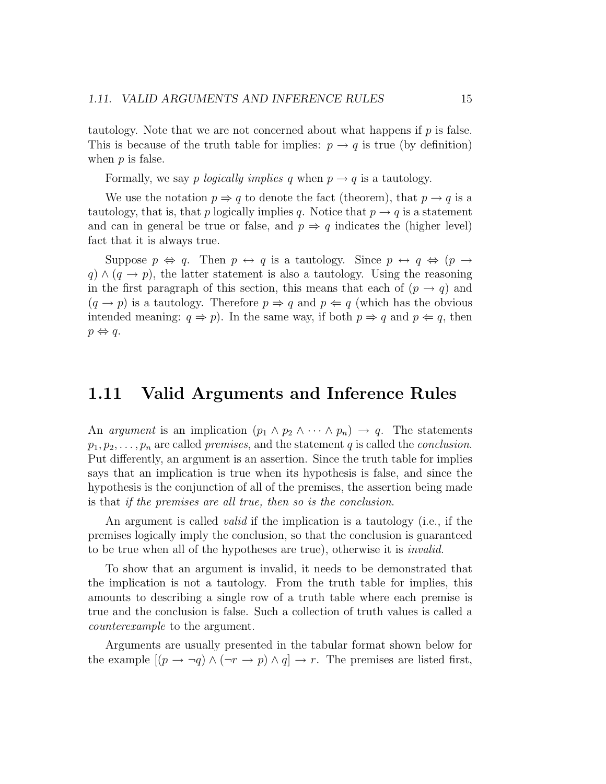tautology. Note that we are not concerned about what happens if  $p$  is false. This is because of the truth table for implies:  $p \rightarrow q$  is true (by definition) when  $p$  is false.

Formally, we say p *logically implies* q when  $p \rightarrow q$  is a tautology.

We use the notation  $p \Rightarrow q$  to denote the fact (theorem), that  $p \rightarrow q$  is a tautology, that is, that p logically implies q. Notice that  $p \to q$  is a statement and can in general be true or false, and  $p \Rightarrow q$  indicates the (higher level) fact that it is always true.

Suppose  $p \Leftrightarrow q$ . Then  $p \leftrightarrow q$  is a tautology. Since  $p \leftrightarrow q \Leftrightarrow (p \rightarrow$  $q$ )  $\wedge$  ( $q \rightarrow p$ ), the latter statement is also a tautology. Using the reasoning in the first paragraph of this section, this means that each of  $(p \rightarrow q)$  and  $(q \rightarrow p)$  is a tautology. Therefore  $p \Rightarrow q$  and  $p \Leftarrow q$  (which has the obvious intended meaning:  $q \Rightarrow p$ ). In the same way, if both  $p \Rightarrow q$  and  $p \Leftarrow q$ , then  $p \Leftrightarrow q.$ 

## 1.11 Valid Arguments and Inference Rules

An argument is an implication  $(p_1 \wedge p_2 \wedge \cdots \wedge p_n) \rightarrow q$ . The statements  $p_1, p_2, \ldots, p_n$  are called *premises*, and the statement q is called the *conclusion*. Put differently, an argument is an assertion. Since the truth table for implies says that an implication is true when its hypothesis is false, and since the hypothesis is the conjunction of all of the premises, the assertion being made is that if the premises are all true, then so is the conclusion.

An argument is called valid if the implication is a tautology (i.e., if the premises logically imply the conclusion, so that the conclusion is guaranteed to be true when all of the hypotheses are true), otherwise it is invalid.

To show that an argument is invalid, it needs to be demonstrated that the implication is not a tautology. From the truth table for implies, this amounts to describing a single row of a truth table where each premise is true and the conclusion is false. Such a collection of truth values is called a counterexample to the argument.

Arguments are usually presented in the tabular format shown below for the example  $[(p \to \neg q) \land (\neg r \to p) \land q] \to r$ . The premises are listed first,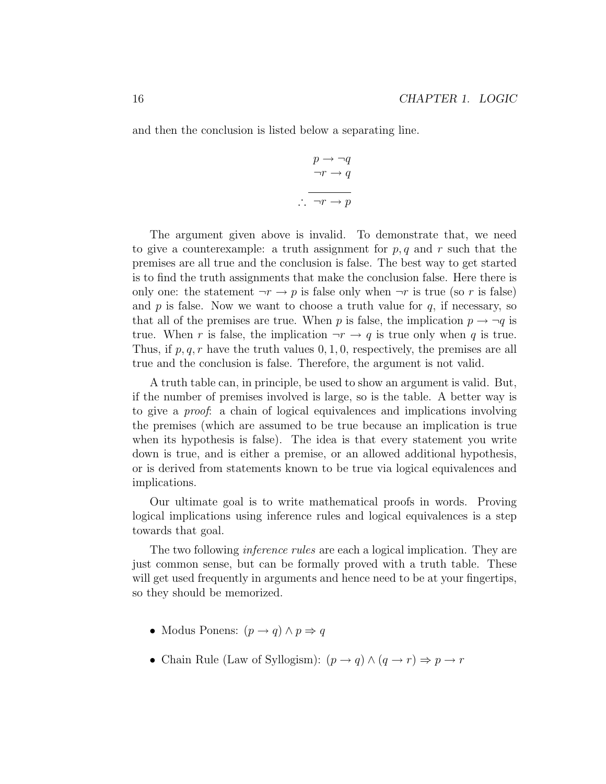and then the conclusion is listed below a separating line.

$$
p \to \neg q
$$
  

$$
\neg r \to q
$$
  

$$
\therefore \neg r \to p
$$

The argument given above is invalid. To demonstrate that, we need to give a counterexample: a truth assignment for  $p, q$  and r such that the premises are all true and the conclusion is false. The best way to get started is to find the truth assignments that make the conclusion false. Here there is only one: the statement  $\neg r \rightarrow p$  is false only when  $\neg r$  is true (so r is false) and  $p$  is false. Now we want to choose a truth value for  $q$ , if necessary, so that all of the premises are true. When p is false, the implication  $p \to \neg q$  is true. When r is false, the implication  $\neg r \rightarrow q$  is true only when q is true. Thus, if  $p, q, r$  have the truth values  $0, 1, 0$ , respectively, the premises are all true and the conclusion is false. Therefore, the argument is not valid.

A truth table can, in principle, be used to show an argument is valid. But, if the number of premises involved is large, so is the table. A better way is to give a proof: a chain of logical equivalences and implications involving the premises (which are assumed to be true because an implication is true when its hypothesis is false). The idea is that every statement you write down is true, and is either a premise, or an allowed additional hypothesis, or is derived from statements known to be true via logical equivalences and implications.

Our ultimate goal is to write mathematical proofs in words. Proving logical implications using inference rules and logical equivalences is a step towards that goal.

The two following *inference rules* are each a logical implication. They are just common sense, but can be formally proved with a truth table. These will get used frequently in arguments and hence need to be at your fingertips, so they should be memorized.

- Modus Ponens:  $(p \rightarrow q) \land p \Rightarrow q$
- Chain Rule (Law of Syllogism):  $(p \to q) \land (q \to r) \Rightarrow p \to r$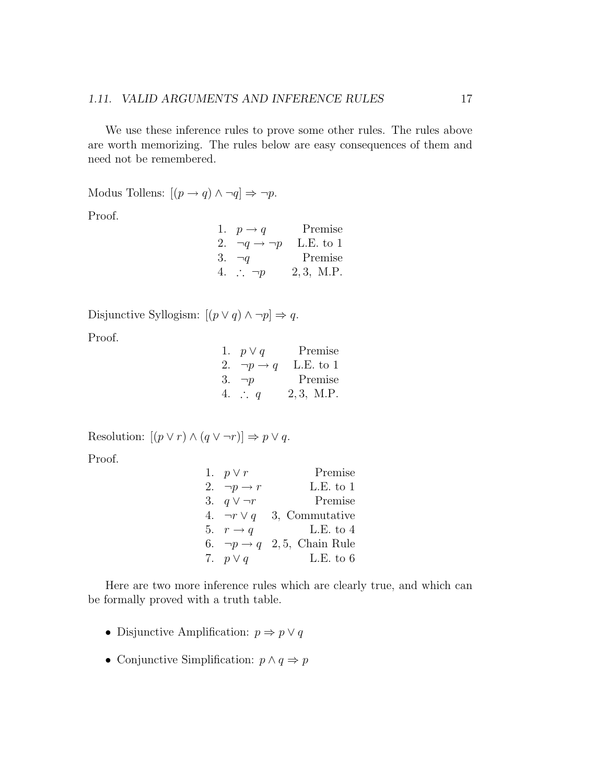We use these inference rules to prove some other rules. The rules above are worth memorizing. The rules below are easy consequences of them and need not be remembered.

Modus Tollens:  $[(p \rightarrow q) \land \neg q] \Rightarrow \neg p$ .

Proof.

| 1. $p \rightarrow q$           | Premise    |
|--------------------------------|------------|
| 2. $\neg q \rightarrow \neg p$ | L.E. to 1  |
| 3. $\neg q$                    | Premise    |
| 4. $\therefore \neg p$         | 2, 3, M.P. |

Disjunctive Syllogism:  $[(p \lor q) \land \neg p] \Rightarrow q$ .

Proof.

| 1. $p \vee q$             | Premise    |
|---------------------------|------------|
| 2. $\neg p \rightarrow q$ | L.E. to 1  |
| 3. $\neg p$               | Premise    |
| 4. $\therefore q$         | 2, 3, M.P. |

Resolution:  $[(p \lor r) \land (q \lor \neg r)] \Rightarrow p \lor q$ .

Proof.

| 1. $p \vee r$             | Premise                                   |
|---------------------------|-------------------------------------------|
| 2. $\neg p \rightarrow r$ | L.E. to 1                                 |
| 3. $q \vee \neg r$        | Premise                                   |
| 4. $\neg r \vee q$        | 3, Commutative                            |
| 5. $r \rightarrow q$      | L.E. to $4$                               |
|                           | 6. $\neg p \rightarrow q$ 2,5, Chain Rule |
| 7. $p \vee q$             | L.E. to $6\,$                             |

Here are two more inference rules which are clearly true, and which can be formally proved with a truth table.

- Disjunctive Amplification:  $p \Rightarrow p \vee q$
- Conjunctive Simplification:  $p \wedge q \Rightarrow p$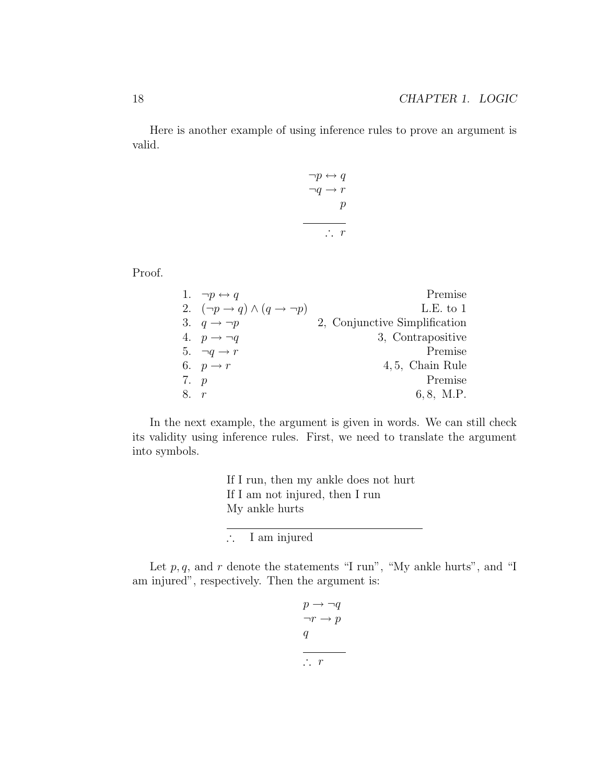Here is another example of using inference rules to prove an argument is valid.

$$
\neg p \leftrightarrow q
$$
  

$$
\neg q \to r
$$
  

$$
p
$$
  

$$
\therefore r
$$

Proof.

|            | 1. $\neg p \leftrightarrow q$                            | Premise                       |
|------------|----------------------------------------------------------|-------------------------------|
|            | 2. $(\neg p \rightarrow q) \land (q \rightarrow \neg p)$ | L.E. to 1                     |
|            | 3. $q \rightarrow \neg p$                                | 2, Conjunctive Simplification |
|            | 4. $p \rightarrow \neg q$                                | 3, Contrapositive             |
|            | 5. $\neg q \rightarrow r$                                | Premise                       |
|            | 6. $p \rightarrow r$                                     | $4, 5$ , Chain Rule           |
| 7. p       |                                                          | Premise                       |
| $8 \rceil$ |                                                          | 6, 8, M.P.                    |

In the next example, the argument is given in words. We can still check its validity using inference rules. First, we need to translate the argument into symbols.

> If I run, then my ankle does not hurt If I am not injured, then I run My ankle hurts

∴ I am injured

Let  $p, q$ , and  $r$  denote the statements "I run", "My ankle hurts", and "I am injured", respectively. Then the argument is:

$$
p \rightarrow \neg q
$$
  
\n
$$
\neg r \rightarrow p
$$
  
\n
$$
q
$$
  
\n
$$
\therefore r
$$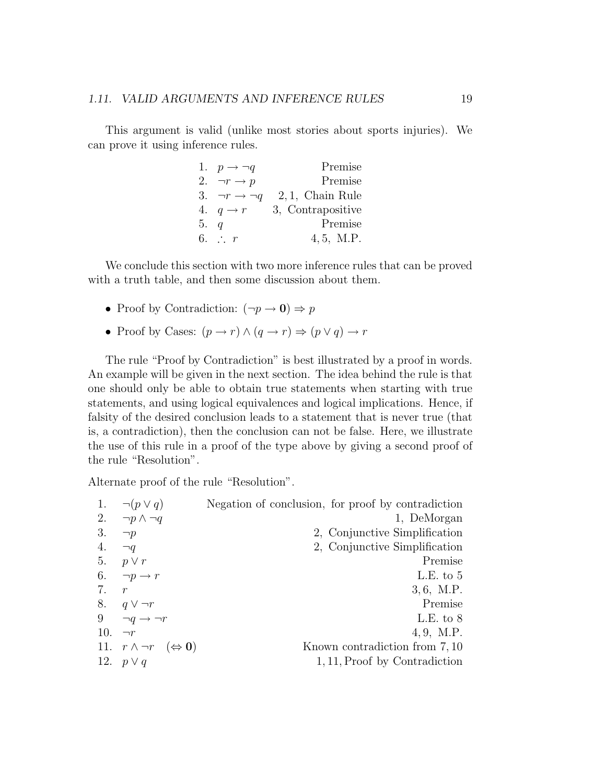This argument is valid (unlike most stories about sports injuries). We can prove it using inference rules.

|      | 1. $p \rightarrow \neg q$      | Premise           |
|------|--------------------------------|-------------------|
|      | 2. $\neg r \rightarrow p$      | Premise           |
|      | 3. $\neg r \rightarrow \neg q$ | 2, 1, Chain Rule  |
|      | 4. $q \rightarrow r$           | 3. Contrapositive |
| 5. q |                                | Premise           |
|      | 6. $\therefore$ $r$            | 4, 5, M.P.        |

We conclude this section with two more inference rules that can be proved with a truth table, and then some discussion about them.

- Proof by Contradiction:  $(\neg p \rightarrow 0) \Rightarrow p$
- Proof by Cases:  $(p \to r) \land (q \to r) \Rightarrow (p \lor q) \to r$

The rule "Proof by Contradiction" is best illustrated by a proof in words. An example will be given in the next section. The idea behind the rule is that one should only be able to obtain true statements when starting with true statements, and using logical equivalences and logical implications. Hence, if falsity of the desired conclusion leads to a statement that is never true (that is, a contradiction), then the conclusion can not be false. Here, we illustrate the use of this rule in a proof of the type above by giving a second proof of the rule "Resolution".

Alternate proof of the rule "Resolution".

|     | 1. $\neg (p \lor q)$                                     | Negation of conclusion, for proof by contradiction |
|-----|----------------------------------------------------------|----------------------------------------------------|
| 2.  | $\neg p \wedge \neg q$                                   | 1, DeMorgan                                        |
| 3.  | $\neg p$                                                 | 2, Conjunctive Simplification                      |
| 4.  | $\neg q$                                                 | 2, Conjunctive Simplification                      |
|     | 5. $p \vee r$                                            | Premise                                            |
|     | 6. $\neg p \rightarrow r$                                | L.E. to 5                                          |
| 7.  | $\mathcal{r}$                                            | $3, 6, \text{ M.P.}$                               |
|     | 8. $q \vee \neg r$                                       | Premise                                            |
|     | 9 $\neg q \rightarrow \neg r$                            | L.E. to 8                                          |
| 10. | $\neg r$                                                 | 4, 9, M.P.                                         |
|     | 11. $r \wedge \neg r \quad (\Leftrightarrow \mathbf{0})$ | Known contradiction from 7,10                      |
|     | 12. $p \vee q$                                           | 1, 11, Proof by Contradiction                      |
|     |                                                          |                                                    |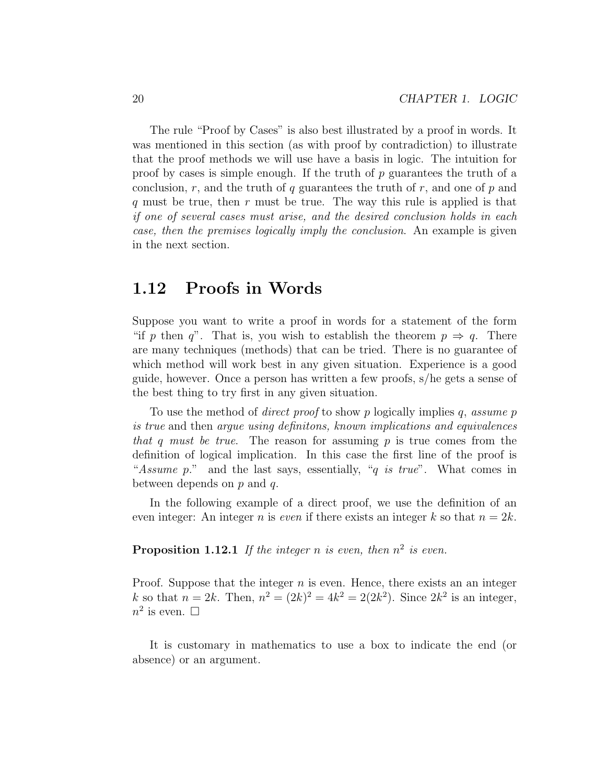The rule "Proof by Cases" is also best illustrated by a proof in words. It was mentioned in this section (as with proof by contradiction) to illustrate that the proof methods we will use have a basis in logic. The intuition for proof by cases is simple enough. If the truth of  $p$  guarantees the truth of a conclusion, r, and the truth of q guarantees the truth of r, and one of p and q must be true, then  $r$  must be true. The way this rule is applied is that if one of several cases must arise, and the desired conclusion holds in each case, then the premises logically imply the conclusion. An example is given in the next section.

### 1.12 Proofs in Words

Suppose you want to write a proof in words for a statement of the form "if p then q". That is, you wish to establish the theorem  $p \Rightarrow q$ . There are many techniques (methods) that can be tried. There is no guarantee of which method will work best in any given situation. Experience is a good guide, however. Once a person has written a few proofs, s/he gets a sense of the best thing to try first in any given situation.

To use the method of *direct proof* to show p logically implies q, assume p is true and then argue using definitons, known implications and equivalences that q must be true. The reason for assuming p is true comes from the definition of logical implication. In this case the first line of the proof is "Assume  $p$ ." and the last says, essentially, "q is true". What comes in between depends on  $p$  and  $q$ .

In the following example of a direct proof, we use the definition of an even integer: An integer n is *even* if there exists an integer k so that  $n = 2k$ .

**Proposition 1.12.1** If the integer n is even, then  $n^2$  is even.

Proof. Suppose that the integer  $n$  is even. Hence, there exists an an integer k so that  $n = 2k$ . Then,  $n^2 = (2k)^2 = 4k^2 = 2(2k^2)$ . Since  $2k^2$  is an integer,  $n^2$  is even.  $\square$ 

It is customary in mathematics to use a box to indicate the end (or absence) or an argument.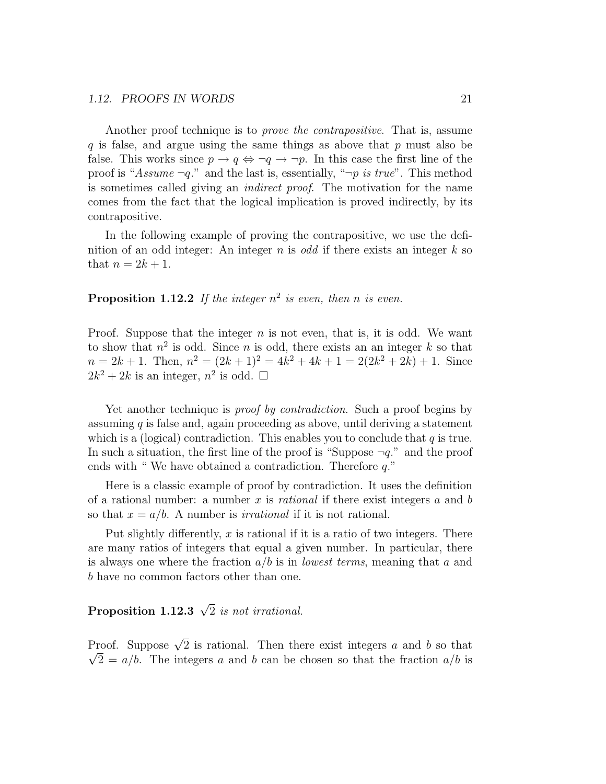Another proof technique is to prove the contrapositive. That is, assume q is false, and argue using the same things as above that  $p$  must also be false. This works since  $p \to q \Leftrightarrow \neg q \to \neg p$ . In this case the first line of the proof is "Assume  $\neg q$ ." and the last is, essentially, " $\neg p$  is true". This method is sometimes called giving an indirect proof. The motivation for the name comes from the fact that the logical implication is proved indirectly, by its contrapositive.

In the following example of proving the contrapositive, we use the definition of an odd integer: An integer  $n$  is *odd* if there exists an integer  $k$  so that  $n = 2k + 1$ .

#### **Proposition 1.12.2** If the integer  $n^2$  is even, then n is even.

Proof. Suppose that the integer  $n$  is not even, that is, it is odd. We want to show that  $n^2$  is odd. Since n is odd, there exists an an integer k so that  $n = 2k + 1$ . Then,  $n^2 = (2k+1)^2 = 4k^2 + 4k + 1 = 2(2k^2 + 2k) + 1$ . Since  $2k^2 + 2k$  is an integer,  $n^2$  is odd.  $\square$ 

Yet another technique is *proof by contradiction*. Such a proof begins by assuming  $q$  is false and, again proceeding as above, until deriving a statement which is a (logical) contradiction. This enables you to conclude that  $q$  is true. In such a situation, the first line of the proof is "Suppose  $\neg q$ ." and the proof ends with " We have obtained a contradiction. Therefore q."

Here is a classic example of proof by contradiction. It uses the definition of a rational number: a number  $x$  is *rational* if there exist integers  $a$  and  $b$ so that  $x = a/b$ . A number is *irrational* if it is not rational.

Put slightly differently,  $x$  is rational if it is a ratio of two integers. There are many ratios of integers that equal a given number. In particular, there is always one where the fraction  $a/b$  is in *lowest terms*, meaning that a and b have no common factors other than one.

## **Proposition 1.12.3**  $\sqrt{2}$  is not irrational.

Proof. Suppose  $\sqrt{2}$  is rational. Then there exist integers a and b so that  $\sqrt{2} = a/b$ . The integers a and b can be chosen so that the fraction  $a/b$  is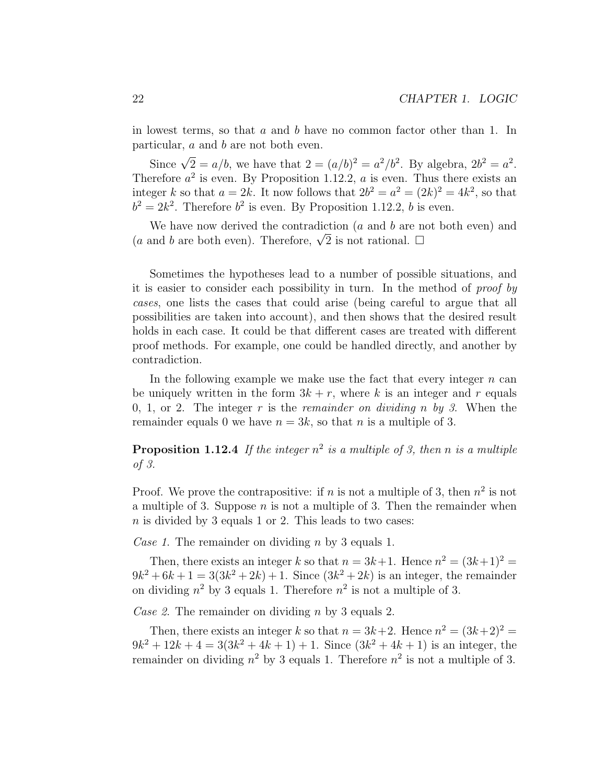in lowest terms, so that  $a$  and  $b$  have no common factor other than 1. In particular, a and b are not both even.

Since  $\sqrt{2} = a/b$ , we have that  $2 = (a/b)^2 = a^2/b^2$ . By algebra,  $2b^2 = a^2$ . Therefore  $a^2$  is even. By Proposition 1.12.2, a is even. Thus there exists an integer k so that  $a = 2k$ . It now follows that  $2b^2 = a^2 = (2k)^2 = 4k^2$ , so that  $b^2 = 2k^2$ . Therefore  $b^2$  is even. By Proposition 1.12.2, b is even.

We have now derived the contradiction  $(a \text{ and } b \text{ are not both even})$  and we nave now derived the contradiction (*a* and *b* are n<br>(*a* and *b* are both even). Therefore,  $\sqrt{2}$  is not rational.  $\Box$ 

Sometimes the hypotheses lead to a number of possible situations, and it is easier to consider each possibility in turn. In the method of proof by cases, one lists the cases that could arise (being careful to argue that all possibilities are taken into account), and then shows that the desired result holds in each case. It could be that different cases are treated with different proof methods. For example, one could be handled directly, and another by contradiction.

In the following example we make use the fact that every integer  $n$  can be uniquely written in the form  $3k + r$ , where k is an integer and r equals 0, 1, or 2. The integer  $r$  is the *remainder on dividing n by 3*. When the remainder equals 0 we have  $n = 3k$ , so that n is a multiple of 3.

**Proposition 1.12.4** If the integer  $n^2$  is a multiple of 3, then n is a multiple of 3.

Proof. We prove the contrapositive: if *n* is not a multiple of 3, then  $n^2$  is not a multiple of 3. Suppose  $n$  is not a multiple of 3. Then the remainder when n is divided by 3 equals 1 or 2. This leads to two cases:

Case 1. The remainder on dividing  $n$  by 3 equals 1.

Then, there exists an integer k so that  $n = 3k+1$ . Hence  $n^2 = (3k+1)^2$  $9k^2 + 6k + 1 = 3(3k^2 + 2k) + 1$ . Since  $(3k^2 + 2k)$  is an integer, the remainder on dividing  $n^2$  by 3 equals 1. Therefore  $n^2$  is not a multiple of 3.

Case 2. The remainder on dividing  $n$  by 3 equals 2.

Then, there exists an integer k so that  $n = 3k+2$ . Hence  $n^2 = (3k+2)^2$  $9k^2 + 12k + 4 = 3(3k^2 + 4k + 1) + 1$ . Since  $(3k^2 + 4k + 1)$  is an integer, the remainder on dividing  $n^2$  by 3 equals 1. Therefore  $n^2$  is not a multiple of 3.